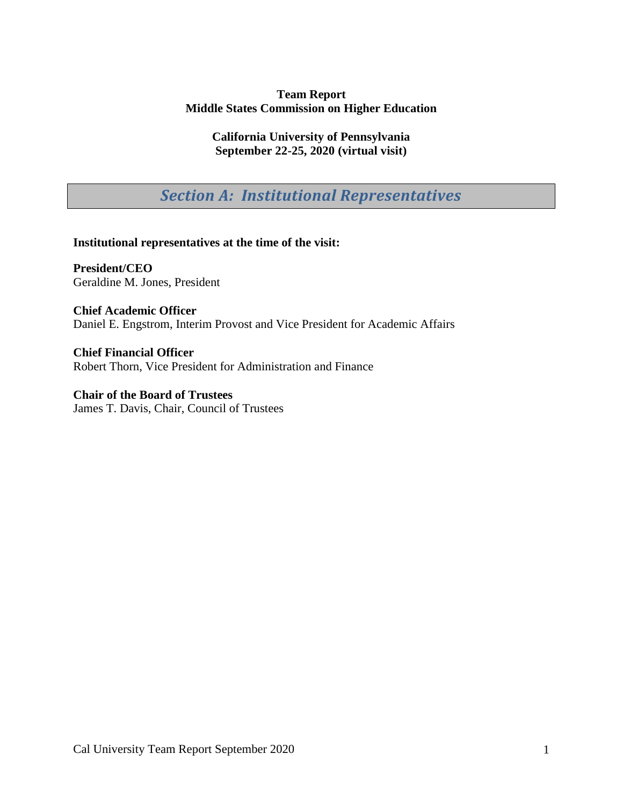### **Team Report Middle States Commission on Higher Education**

**California University of Pennsylvania September 22-25, 2020 (virtual visit)**

*Section A: Institutional Representatives* 

**Institutional representatives at the time of the visit:**

**President/CEO** Geraldine M. Jones, President

**Chief Academic Officer** Daniel E. Engstrom, Interim Provost and Vice President for Academic Affairs

**Chief Financial Officer** Robert Thorn, Vice President for Administration and Finance

**Chair of the Board of Trustees** James T. Davis, Chair, Council of Trustees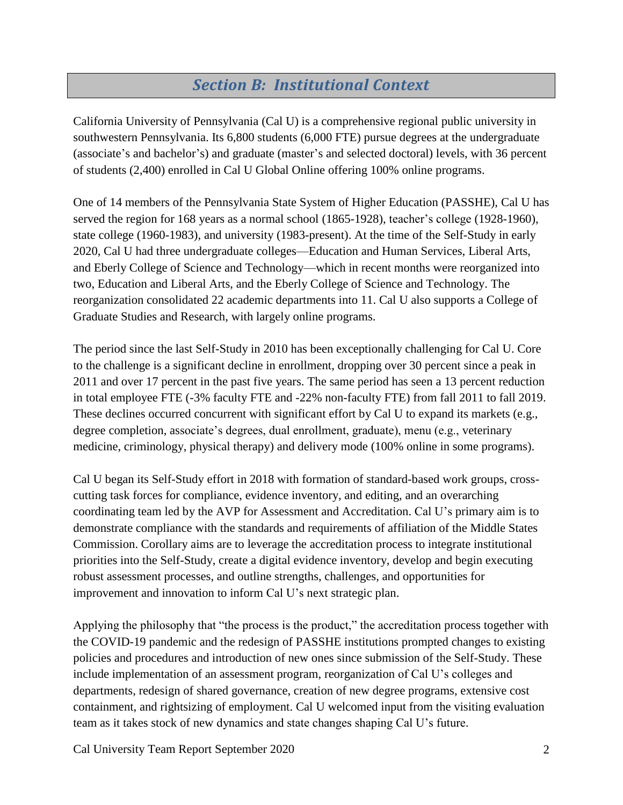# *Section B: Institutional Context*

California University of Pennsylvania (Cal U) is a comprehensive regional public university in southwestern Pennsylvania. Its 6,800 students (6,000 FTE) pursue degrees at the undergraduate (associate's and bachelor's) and graduate (master's and selected doctoral) levels, with 36 percent of students (2,400) enrolled in Cal U Global Online offering 100% online programs.

One of 14 members of the Pennsylvania State System of Higher Education (PASSHE), Cal U has served the region for 168 years as a normal school (1865-1928), teacher's college (1928-1960), state college (1960-1983), and university (1983-present). At the time of the Self-Study in early 2020, Cal U had three undergraduate colleges—Education and Human Services, Liberal Arts, and Eberly College of Science and Technology—which in recent months were reorganized into two, Education and Liberal Arts, and the Eberly College of Science and Technology. The reorganization consolidated 22 academic departments into 11. Cal U also supports a College of Graduate Studies and Research, with largely online programs.

The period since the last Self-Study in 2010 has been exceptionally challenging for Cal U. Core to the challenge is a significant decline in enrollment, dropping over 30 percent since a peak in 2011 and over 17 percent in the past five years. The same period has seen a 13 percent reduction in total employee FTE (-3% faculty FTE and -22% non-faculty FTE) from fall 2011 to fall 2019. These declines occurred concurrent with significant effort by Cal U to expand its markets (e.g., degree completion, associate's degrees, dual enrollment, graduate), menu (e.g., veterinary medicine, criminology, physical therapy) and delivery mode (100% online in some programs).

Cal U began its Self-Study effort in 2018 with formation of standard-based work groups, crosscutting task forces for compliance, evidence inventory, and editing, and an overarching coordinating team led by the AVP for Assessment and Accreditation. Cal U's primary aim is to demonstrate compliance with the standards and requirements of affiliation of the Middle States Commission. Corollary aims are to leverage the accreditation process to integrate institutional priorities into the Self-Study, create a digital evidence inventory, develop and begin executing robust assessment processes, and outline strengths, challenges, and opportunities for improvement and innovation to inform Cal U's next strategic plan.

Applying the philosophy that "the process is the product," the accreditation process together with the COVID-19 pandemic and the redesign of PASSHE institutions prompted changes to existing policies and procedures and introduction of new ones since submission of the Self-Study. These include implementation of an assessment program, reorganization of Cal U's colleges and departments, redesign of shared governance, creation of new degree programs, extensive cost containment, and rightsizing of employment. Cal U welcomed input from the visiting evaluation team as it takes stock of new dynamics and state changes shaping Cal U's future.

Cal University Team Report September 2020 2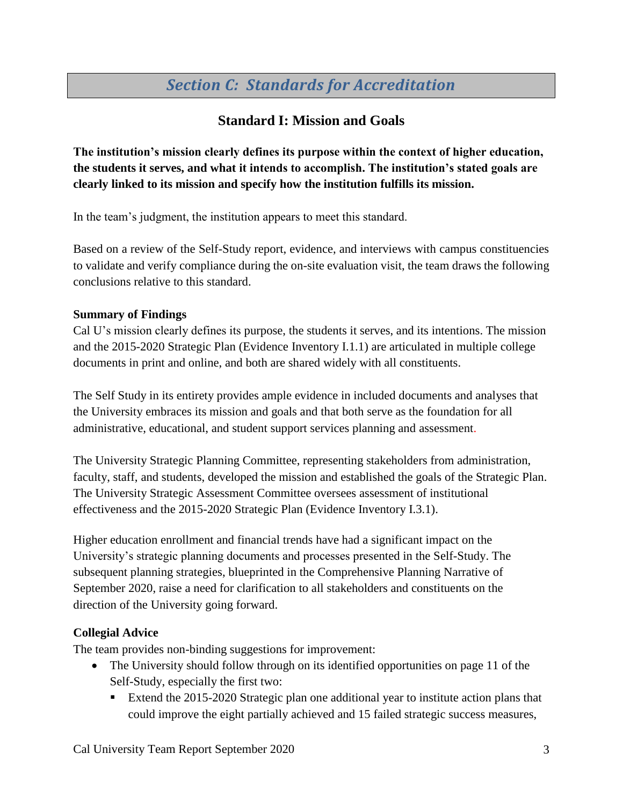# *Section C: Standards for Accreditation*

# **Standard I: Mission and Goals**

**The institution's mission clearly defines its purpose within the context of higher education, the students it serves, and what it intends to accomplish. The institution's stated goals are clearly linked to its mission and specify how the institution fulfills its mission.**

In the team's judgment, the institution appears to meet this standard.

Based on a review of the Self-Study report, evidence, and interviews with campus constituencies to validate and verify compliance during the on-site evaluation visit, the team draws the following conclusions relative to this standard.

#### **Summary of Findings**

Cal U's mission clearly defines its purpose, the students it serves, and its intentions. The mission and the 2015-2020 Strategic Plan (Evidence Inventory I.1.1) are articulated in multiple college documents in print and online, and both are shared widely with all constituents.

The Self Study in its entirety provides ample evidence in included documents and analyses that the University embraces its mission and goals and that both serve as the foundation for all administrative, educational, and student support services planning and assessment.

The University Strategic Planning Committee, representing stakeholders from administration, faculty, staff, and students, developed the mission and established the goals of the Strategic Plan. The University Strategic Assessment Committee oversees assessment of institutional effectiveness and the 2015-2020 Strategic Plan (Evidence Inventory I.3.1).

Higher education enrollment and financial trends have had a significant impact on the University's strategic planning documents and processes presented in the Self-Study. The subsequent planning strategies, blueprinted in the Comprehensive Planning Narrative of September 2020, raise a need for clarification to all stakeholders and constituents on the direction of the University going forward.

#### **Collegial Advice**

The team provides non-binding suggestions for improvement:

- The University should follow through on its identified opportunities on page 11 of the Self-Study, especially the first two:
	- Extend the 2015-2020 Strategic plan one additional year to institute action plans that could improve the eight partially achieved and 15 failed strategic success measures,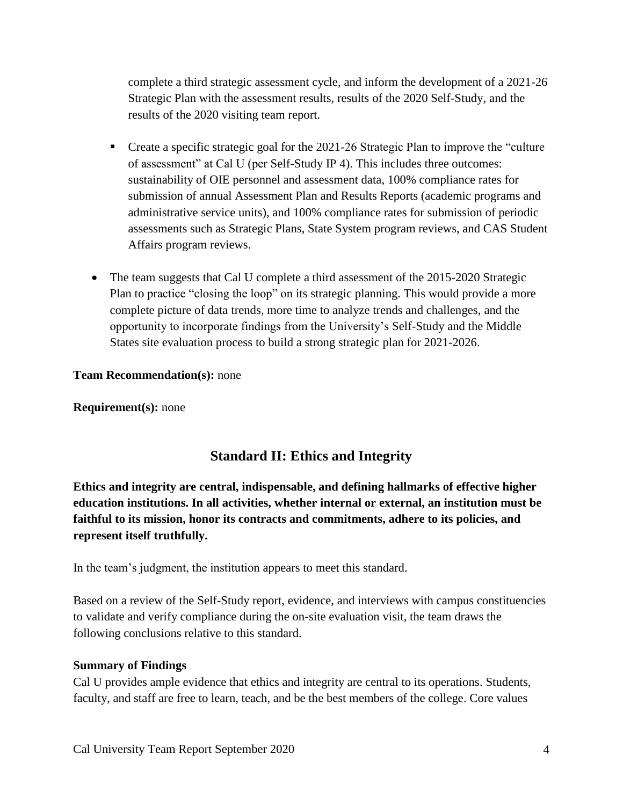complete a third strategic assessment cycle, and inform the development of a 2021-26 Strategic Plan with the assessment results, results of the 2020 Self-Study, and the results of the 2020 visiting team report.

- Create a specific strategic goal for the 2021-26 Strategic Plan to improve the "culture of assessment" at Cal U (per Self-Study IP 4). This includes three outcomes: sustainability of OIE personnel and assessment data, 100% compliance rates for submission of annual Assessment Plan and Results Reports (academic programs and administrative service units), and 100% compliance rates for submission of periodic assessments such as Strategic Plans, State System program reviews, and CAS Student Affairs program reviews.
- The team suggests that Cal U complete a third assessment of the 2015-2020 Strategic Plan to practice "closing the loop" on its strategic planning. This would provide a more complete picture of data trends, more time to analyze trends and challenges, and the opportunity to incorporate findings from the University's Self-Study and the Middle States site evaluation process to build a strong strategic plan for 2021-2026.

#### **Team Recommendation(s):** none

**Requirement(s):** none

## **Standard II: Ethics and Integrity**

**Ethics and integrity are central, indispensable, and defining hallmarks of effective higher education institutions. In all activities, whether internal or external, an institution must be faithful to its mission, honor its contracts and commitments, adhere to its policies, and represent itself truthfully.**

In the team's judgment, the institution appears to meet this standard.

Based on a review of the Self-Study report, evidence, and interviews with campus constituencies to validate and verify compliance during the on-site evaluation visit, the team draws the following conclusions relative to this standard.

#### **Summary of Findings**

Cal U provides ample evidence that ethics and integrity are central to its operations. Students, faculty, and staff are free to learn, teach, and be the best members of the college. Core values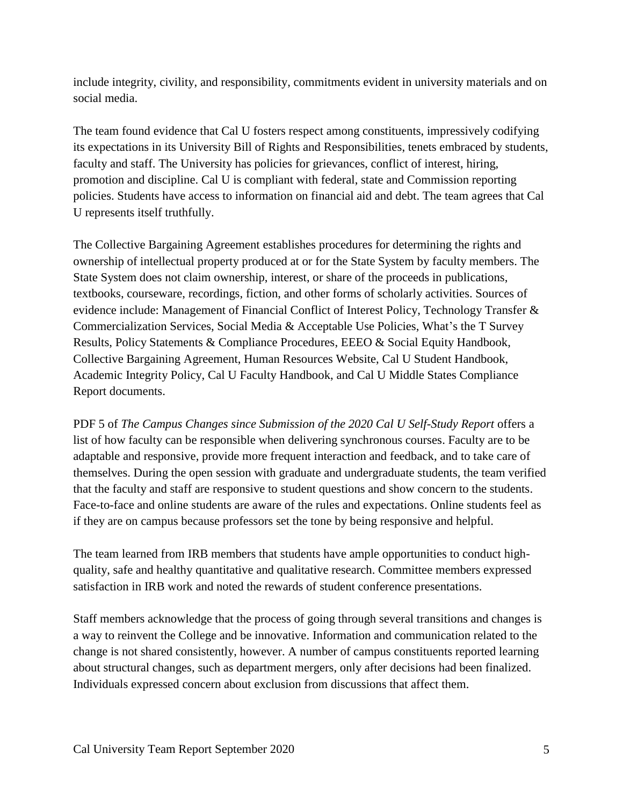include integrity, civility, and responsibility, commitments evident in university materials and on social media.

The team found evidence that Cal U fosters respect among constituents, impressively codifying its expectations in its University Bill of Rights and Responsibilities, tenets embraced by students, faculty and staff. The University has policies for grievances, conflict of interest, hiring, promotion and discipline. Cal U is compliant with federal, state and Commission reporting policies. Students have access to information on financial aid and debt. The team agrees that Cal U represents itself truthfully.

The Collective Bargaining Agreement establishes procedures for determining the rights and ownership of intellectual property produced at or for the State System by faculty members. The State System does not claim ownership, interest, or share of the proceeds in publications, textbooks, courseware, recordings, fiction, and other forms of scholarly activities. Sources of evidence include: Management of Financial Conflict of Interest Policy, Technology Transfer & Commercialization Services, Social Media & Acceptable Use Policies, What's the T Survey Results, Policy Statements & Compliance Procedures, EEEO & Social Equity Handbook, Collective Bargaining Agreement, Human Resources Website, Cal U Student Handbook, Academic Integrity Policy, Cal U Faculty Handbook, and Cal U Middle States Compliance Report documents.

PDF 5 of *The Campus Changes since Submission of the 2020 Cal U Self-Study Report* offers a list of how faculty can be responsible when delivering synchronous courses. Faculty are to be adaptable and responsive, provide more frequent interaction and feedback, and to take care of themselves. During the open session with graduate and undergraduate students, the team verified that the faculty and staff are responsive to student questions and show concern to the students. Face-to-face and online students are aware of the rules and expectations. Online students feel as if they are on campus because professors set the tone by being responsive and helpful.

The team learned from IRB members that students have ample opportunities to conduct highquality, safe and healthy quantitative and qualitative research. Committee members expressed satisfaction in IRB work and noted the rewards of student conference presentations.

Staff members acknowledge that the process of going through several transitions and changes is a way to reinvent the College and be innovative. Information and communication related to the change is not shared consistently, however. A number of campus constituents reported learning about structural changes, such as department mergers, only after decisions had been finalized. Individuals expressed concern about exclusion from discussions that affect them.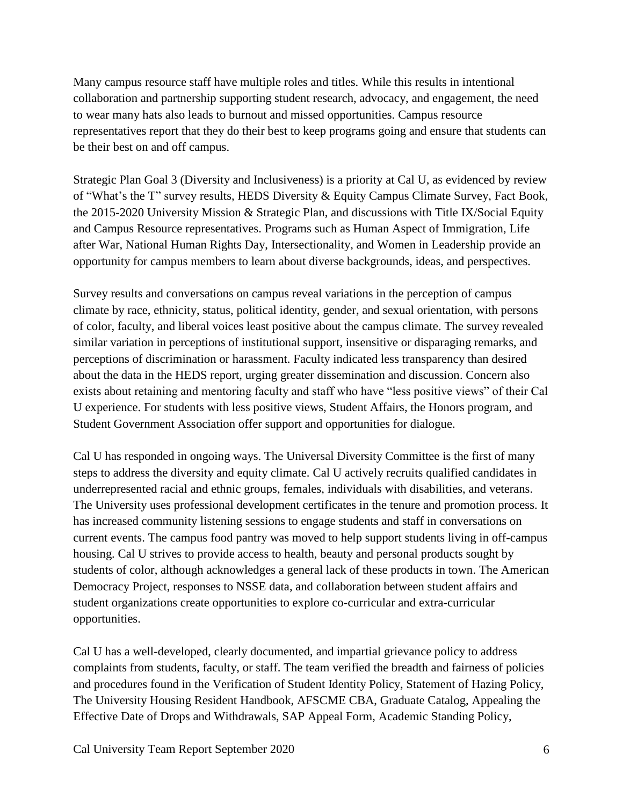Many campus resource staff have multiple roles and titles. While this results in intentional collaboration and partnership supporting student research, advocacy, and engagement, the need to wear many hats also leads to burnout and missed opportunities. Campus resource representatives report that they do their best to keep programs going and ensure that students can be their best on and off campus.

Strategic Plan Goal 3 (Diversity and Inclusiveness) is a priority at Cal U, as evidenced by review of "What's the T" survey results, HEDS Diversity & Equity Campus Climate Survey, Fact Book, the 2015-2020 University Mission & Strategic Plan, and discussions with Title IX/Social Equity and Campus Resource representatives. Programs such as Human Aspect of Immigration, Life after War, National Human Rights Day, Intersectionality, and Women in Leadership provide an opportunity for campus members to learn about diverse backgrounds, ideas, and perspectives.

Survey results and conversations on campus reveal variations in the perception of campus climate by race, ethnicity, status, political identity, gender, and sexual orientation, with persons of color, faculty, and liberal voices least positive about the campus climate. The survey revealed similar variation in perceptions of institutional support, insensitive or disparaging remarks, and perceptions of discrimination or harassment. Faculty indicated less transparency than desired about the data in the HEDS report, urging greater dissemination and discussion. Concern also exists about retaining and mentoring faculty and staff who have "less positive views" of their Cal U experience. For students with less positive views, Student Affairs, the Honors program, and Student Government Association offer support and opportunities for dialogue.

Cal U has responded in ongoing ways. The Universal Diversity Committee is the first of many steps to address the diversity and equity climate. Cal U actively recruits qualified candidates in underrepresented racial and ethnic groups, females, individuals with disabilities, and veterans. The University uses professional development certificates in the tenure and promotion process. It has increased community listening sessions to engage students and staff in conversations on current events. The campus food pantry was moved to help support students living in off-campus housing. Cal U strives to provide access to health, beauty and personal products sought by students of color, although acknowledges a general lack of these products in town. The American Democracy Project, responses to NSSE data, and collaboration between student affairs and student organizations create opportunities to explore co-curricular and extra-curricular opportunities.

Cal U has a well-developed, clearly documented, and impartial grievance policy to address complaints from students, faculty, or staff. The team verified the breadth and fairness of policies and procedures found in the Verification of Student Identity Policy, Statement of Hazing Policy, The University Housing Resident Handbook, AFSCME CBA, Graduate Catalog, Appealing the Effective Date of Drops and Withdrawals, SAP Appeal Form, Academic Standing Policy,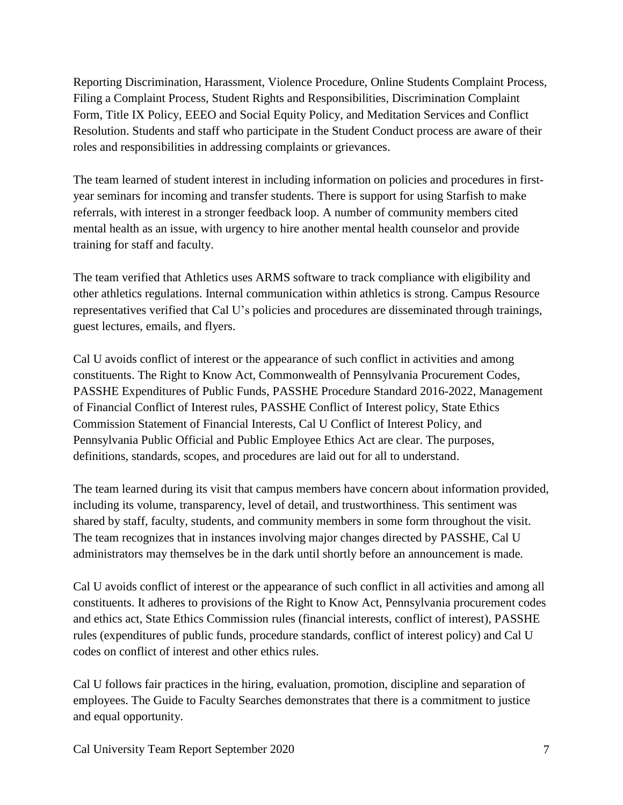Reporting Discrimination, Harassment, Violence Procedure, Online Students Complaint Process, Filing a Complaint Process, Student Rights and Responsibilities, Discrimination Complaint Form, Title IX Policy, EEEO and Social Equity Policy, and Meditation Services and Conflict Resolution. Students and staff who participate in the Student Conduct process are aware of their roles and responsibilities in addressing complaints or grievances.

The team learned of student interest in including information on policies and procedures in firstyear seminars for incoming and transfer students. There is support for using Starfish to make referrals, with interest in a stronger feedback loop. A number of community members cited mental health as an issue, with urgency to hire another mental health counselor and provide training for staff and faculty.

The team verified that Athletics uses ARMS software to track compliance with eligibility and other athletics regulations. Internal communication within athletics is strong. Campus Resource representatives verified that Cal U's policies and procedures are disseminated through trainings, guest lectures, emails, and flyers.

Cal U avoids conflict of interest or the appearance of such conflict in activities and among constituents. The Right to Know Act, Commonwealth of Pennsylvania Procurement Codes, PASSHE Expenditures of Public Funds, PASSHE Procedure Standard 2016-2022, Management of Financial Conflict of Interest rules, PASSHE Conflict of Interest policy, State Ethics Commission Statement of Financial Interests, Cal U Conflict of Interest Policy, and Pennsylvania Public Official and Public Employee Ethics Act are clear. The purposes, definitions, standards, scopes, and procedures are laid out for all to understand.

The team learned during its visit that campus members have concern about information provided, including its volume, transparency, level of detail, and trustworthiness. This sentiment was shared by staff, faculty, students, and community members in some form throughout the visit. The team recognizes that in instances involving major changes directed by PASSHE, Cal U administrators may themselves be in the dark until shortly before an announcement is made.

Cal U avoids conflict of interest or the appearance of such conflict in all activities and among all constituents. It adheres to provisions of the Right to Know Act, Pennsylvania procurement codes and ethics act, State Ethics Commission rules (financial interests, conflict of interest), PASSHE rules (expenditures of public funds, procedure standards, conflict of interest policy) and Cal U codes on conflict of interest and other ethics rules.

Cal U follows fair practices in the hiring, evaluation, promotion, discipline and separation of employees. The Guide to Faculty Searches demonstrates that there is a commitment to justice and equal opportunity.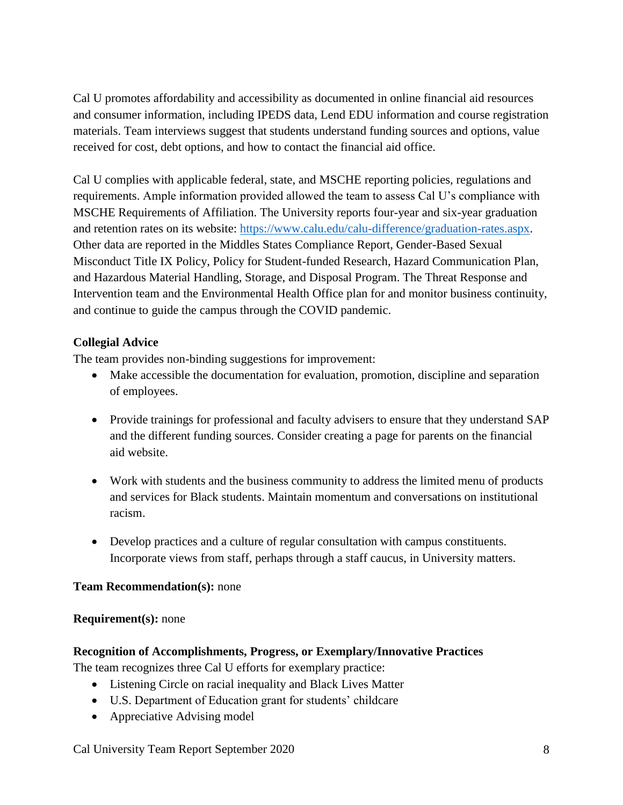Cal U promotes affordability and accessibility as documented in online financial aid resources and consumer information, including IPEDS data, Lend EDU information and course registration materials. Team interviews suggest that students understand funding sources and options, value received for cost, debt options, and how to contact the financial aid office.

Cal U complies with applicable federal, state, and MSCHE reporting policies, regulations and requirements. Ample information provided allowed the team to assess Cal U's compliance with MSCHE Requirements of Affiliation. The University reports four-year and six-year graduation and retention rates on its website: [https://www.calu.edu/calu-difference/graduation-rates.aspx.](about:blank) Other data are reported in the Middles States Compliance Report, Gender-Based Sexual Misconduct Title IX Policy, Policy for Student-funded Research, Hazard Communication Plan, and Hazardous Material Handling, Storage, and Disposal Program. The Threat Response and Intervention team and the Environmental Health Office plan for and monitor business continuity, and continue to guide the campus through the COVID pandemic.

## **Collegial Advice**

The team provides non-binding suggestions for improvement:

- Make accessible the documentation for evaluation, promotion, discipline and separation of employees.
- Provide trainings for professional and faculty advisers to ensure that they understand SAP and the different funding sources. Consider creating a page for parents on the financial aid website.
- Work with students and the business community to address the limited menu of products and services for Black students. Maintain momentum and conversations on institutional racism.
- Develop practices and a culture of regular consultation with campus constituents. Incorporate views from staff, perhaps through a staff caucus, in University matters.

## **Team Recommendation(s):** none

## **Requirement(s):** none

## **Recognition of Accomplishments, Progress, or Exemplary/Innovative Practices**

The team recognizes three Cal U efforts for exemplary practice:

- Listening Circle on racial inequality and Black Lives Matter
- U.S. Department of Education grant for students' childcare
- Appreciative Advising model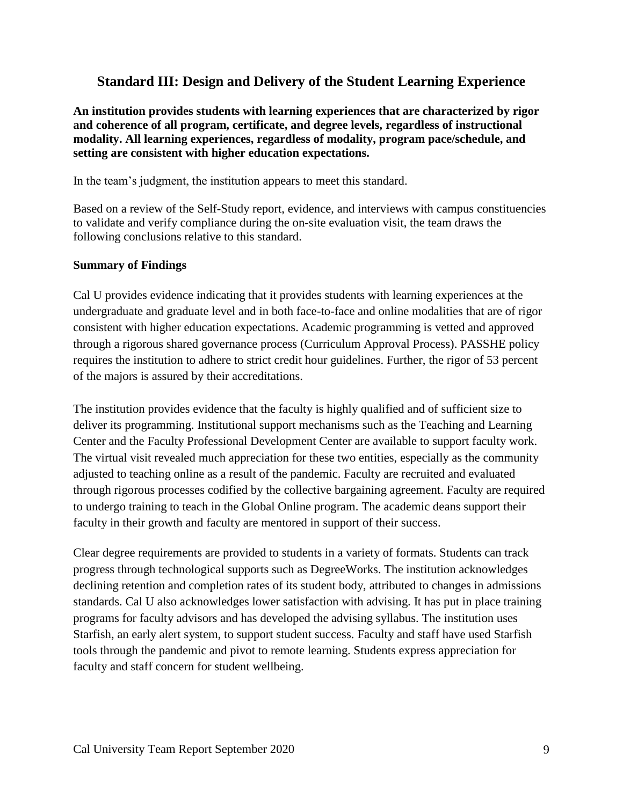# **Standard III: Design and Delivery of the Student Learning Experience**

**An institution provides students with learning experiences that are characterized by rigor and coherence of all program, certificate, and degree levels, regardless of instructional modality. All learning experiences, regardless of modality, program pace/schedule, and setting are consistent with higher education expectations.**

In the team's judgment, the institution appears to meet this standard.

Based on a review of the Self-Study report, evidence, and interviews with campus constituencies to validate and verify compliance during the on-site evaluation visit, the team draws the following conclusions relative to this standard.

#### **Summary of Findings**

Cal U provides evidence indicating that it provides students with learning experiences at the undergraduate and graduate level and in both face-to-face and online modalities that are of rigor consistent with higher education expectations. Academic programming is vetted and approved through a rigorous shared governance process (Curriculum Approval Process). PASSHE policy requires the institution to adhere to strict credit hour guidelines. Further, the rigor of 53 percent of the majors is assured by their accreditations.

The institution provides evidence that the faculty is highly qualified and of sufficient size to deliver its programming. Institutional support mechanisms such as the Teaching and Learning Center and the Faculty Professional Development Center are available to support faculty work. The virtual visit revealed much appreciation for these two entities, especially as the community adjusted to teaching online as a result of the pandemic. Faculty are recruited and evaluated through rigorous processes codified by the collective bargaining agreement. Faculty are required to undergo training to teach in the Global Online program. The academic deans support their faculty in their growth and faculty are mentored in support of their success.

Clear degree requirements are provided to students in a variety of formats. Students can track progress through technological supports such as DegreeWorks. The institution acknowledges declining retention and completion rates of its student body, attributed to changes in admissions standards. Cal U also acknowledges lower satisfaction with advising. It has put in place training programs for faculty advisors and has developed the advising syllabus. The institution uses Starfish, an early alert system, to support student success. Faculty and staff have used Starfish tools through the pandemic and pivot to remote learning. Students express appreciation for faculty and staff concern for student wellbeing.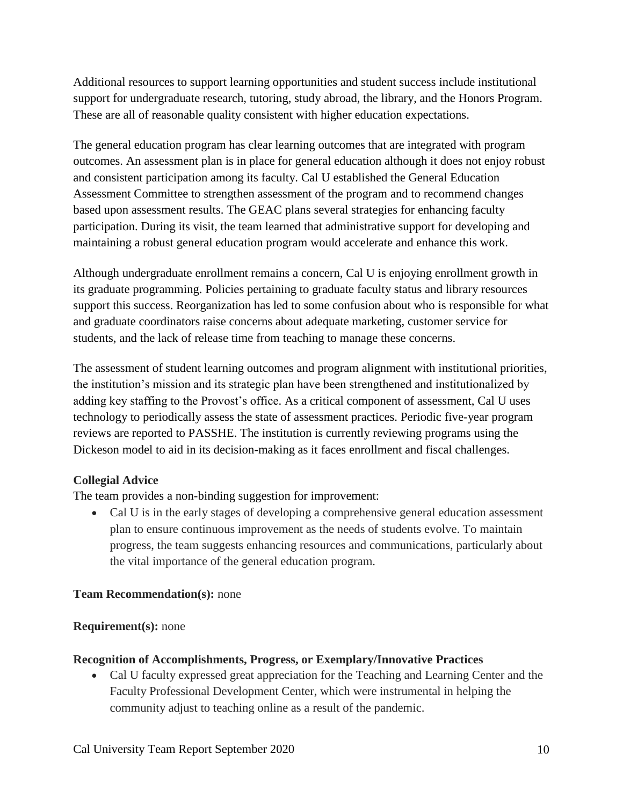Additional resources to support learning opportunities and student success include institutional support for undergraduate research, tutoring, study abroad, the library, and the Honors Program. These are all of reasonable quality consistent with higher education expectations.

The general education program has clear learning outcomes that are integrated with program outcomes. An assessment plan is in place for general education although it does not enjoy robust and consistent participation among its faculty. Cal U established the General Education Assessment Committee to strengthen assessment of the program and to recommend changes based upon assessment results. The GEAC plans several strategies for enhancing faculty participation. During its visit, the team learned that administrative support for developing and maintaining a robust general education program would accelerate and enhance this work.

Although undergraduate enrollment remains a concern, Cal U is enjoying enrollment growth in its graduate programming. Policies pertaining to graduate faculty status and library resources support this success. Reorganization has led to some confusion about who is responsible for what and graduate coordinators raise concerns about adequate marketing, customer service for students, and the lack of release time from teaching to manage these concerns.

The assessment of student learning outcomes and program alignment with institutional priorities, the institution's mission and its strategic plan have been strengthened and institutionalized by adding key staffing to the Provost's office. As a critical component of assessment, Cal U uses technology to periodically assess the state of assessment practices. Periodic five-year program reviews are reported to PASSHE. The institution is currently reviewing programs using the Dickeson model to aid in its decision-making as it faces enrollment and fiscal challenges.

#### **Collegial Advice**

The team provides a non-binding suggestion for improvement:

• Cal U is in the early stages of developing a comprehensive general education assessment plan to ensure continuous improvement as the needs of students evolve. To maintain progress, the team suggests enhancing resources and communications, particularly about the vital importance of the general education program.

#### **Team Recommendation(s):** none

#### **Requirement(s):** none

#### **Recognition of Accomplishments, Progress, or Exemplary/Innovative Practices**

• Cal U faculty expressed great appreciation for the Teaching and Learning Center and the Faculty Professional Development Center, which were instrumental in helping the community adjust to teaching online as a result of the pandemic.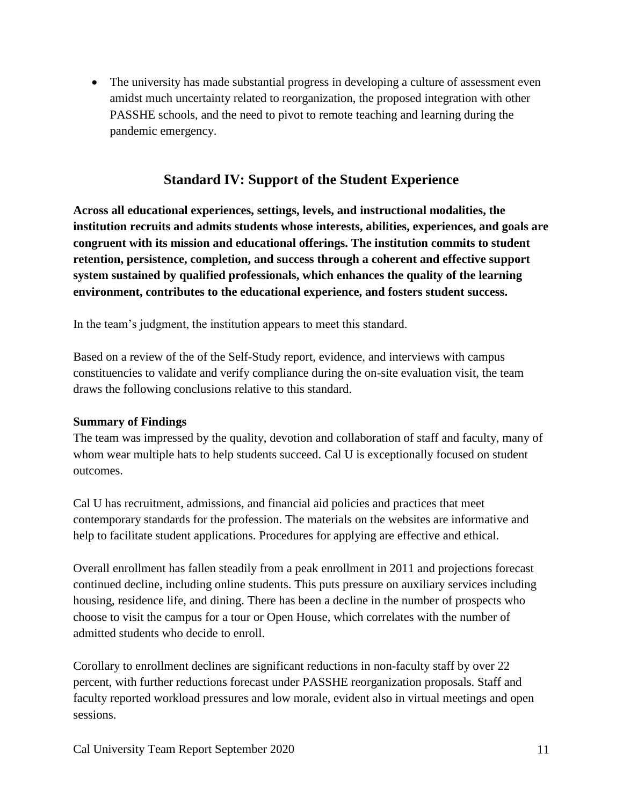• The university has made substantial progress in developing a culture of assessment even amidst much uncertainty related to reorganization, the proposed integration with other PASSHE schools, and the need to pivot to remote teaching and learning during the pandemic emergency.

# **Standard IV: Support of the Student Experience**

**Across all educational experiences, settings, levels, and instructional modalities, the institution recruits and admits students whose interests, abilities, experiences, and goals are congruent with its mission and educational offerings. The institution commits to student retention, persistence, completion, and success through a coherent and effective support system sustained by qualified professionals, which enhances the quality of the learning environment, contributes to the educational experience, and fosters student success.**

In the team's judgment, the institution appears to meet this standard.

Based on a review of the of the Self-Study report, evidence, and interviews with campus constituencies to validate and verify compliance during the on-site evaluation visit, the team draws the following conclusions relative to this standard.

#### **Summary of Findings**

The team was impressed by the quality, devotion and collaboration of staff and faculty, many of whom wear multiple hats to help students succeed. Cal U is exceptionally focused on student outcomes.

Cal U has recruitment, admissions, and financial aid policies and practices that meet contemporary standards for the profession. The materials on the websites are informative and help to facilitate student applications. Procedures for applying are effective and ethical.

Overall enrollment has fallen steadily from a peak enrollment in 2011 and projections forecast continued decline, including online students. This puts pressure on auxiliary services including housing, residence life, and dining. There has been a decline in the number of prospects who choose to visit the campus for a tour or Open House, which correlates with the number of admitted students who decide to enroll.

Corollary to enrollment declines are significant reductions in non-faculty staff by over 22 percent, with further reductions forecast under PASSHE reorganization proposals. Staff and faculty reported workload pressures and low morale, evident also in virtual meetings and open sessions.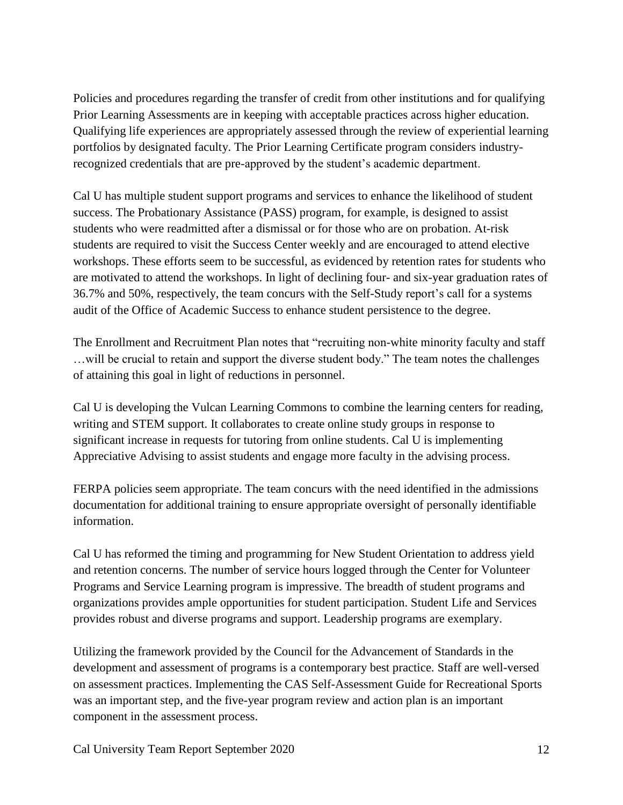Policies and procedures regarding the transfer of credit from other institutions and for qualifying Prior Learning Assessments are in keeping with acceptable practices across higher education. Qualifying life experiences are appropriately assessed through the review of experiential learning portfolios by designated faculty. The Prior Learning Certificate program considers industryrecognized credentials that are pre-approved by the student's academic department.

Cal U has multiple student support programs and services to enhance the likelihood of student success. The Probationary Assistance (PASS) program, for example, is designed to assist students who were readmitted after a dismissal or for those who are on probation. At-risk students are required to visit the Success Center weekly and are encouraged to attend elective workshops. These efforts seem to be successful, as evidenced by retention rates for students who are motivated to attend the workshops. In light of declining four- and six-year graduation rates of 36.7% and 50%, respectively, the team concurs with the Self-Study report's call for a systems audit of the Office of Academic Success to enhance student persistence to the degree.

The Enrollment and Recruitment Plan notes that "recruiting non-white minority faculty and staff …will be crucial to retain and support the diverse student body." The team notes the challenges of attaining this goal in light of reductions in personnel.

Cal U is developing the Vulcan Learning Commons to combine the learning centers for reading, writing and STEM support. It collaborates to create online study groups in response to significant increase in requests for tutoring from online students. Cal U is implementing Appreciative Advising to assist students and engage more faculty in the advising process.

FERPA policies seem appropriate. The team concurs with the need identified in the admissions documentation for additional training to ensure appropriate oversight of personally identifiable information.

Cal U has reformed the timing and programming for New Student Orientation to address yield and retention concerns. The number of service hours logged through the Center for Volunteer Programs and Service Learning program is impressive. The breadth of student programs and organizations provides ample opportunities for student participation. Student Life and Services provides robust and diverse programs and support. Leadership programs are exemplary.

Utilizing the framework provided by the Council for the Advancement of Standards in the development and assessment of programs is a contemporary best practice. Staff are well-versed on assessment practices. Implementing the CAS Self-Assessment Guide for Recreational Sports was an important step, and the five-year program review and action plan is an important component in the assessment process.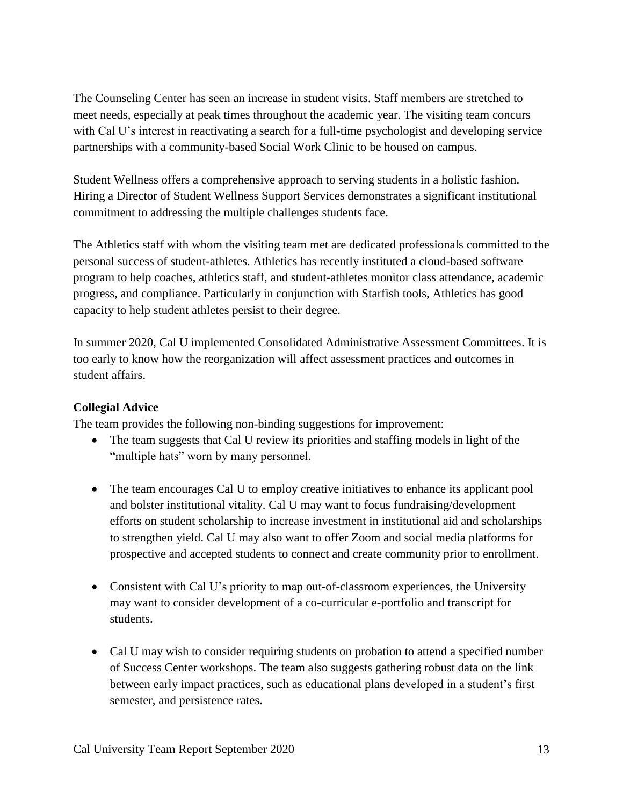The Counseling Center has seen an increase in student visits. Staff members are stretched to meet needs, especially at peak times throughout the academic year. The visiting team concurs with Cal U's interest in reactivating a search for a full-time psychologist and developing service partnerships with a community-based Social Work Clinic to be housed on campus.

Student Wellness offers a comprehensive approach to serving students in a holistic fashion. Hiring a Director of Student Wellness Support Services demonstrates a significant institutional commitment to addressing the multiple challenges students face.

The Athletics staff with whom the visiting team met are dedicated professionals committed to the personal success of student-athletes. Athletics has recently instituted a cloud-based software program to help coaches, athletics staff, and student-athletes monitor class attendance, academic progress, and compliance. Particularly in conjunction with Starfish tools, Athletics has good capacity to help student athletes persist to their degree.

In summer 2020, Cal U implemented Consolidated Administrative Assessment Committees. It is too early to know how the reorganization will affect assessment practices and outcomes in student affairs.

### **Collegial Advice**

The team provides the following non-binding suggestions for improvement:

- The team suggests that Cal U review its priorities and staffing models in light of the "multiple hats" worn by many personnel.
- The team encourages Cal U to employ creative initiatives to enhance its applicant pool and bolster institutional vitality. Cal U may want to focus fundraising/development efforts on student scholarship to increase investment in institutional aid and scholarships to strengthen yield. Cal U may also want to offer Zoom and social media platforms for prospective and accepted students to connect and create community prior to enrollment.
- Consistent with Cal U's priority to map out-of-classroom experiences, the University may want to consider development of a co-curricular e-portfolio and transcript for students.
- Cal U may wish to consider requiring students on probation to attend a specified number of Success Center workshops. The team also suggests gathering robust data on the link between early impact practices, such as educational plans developed in a student's first semester, and persistence rates.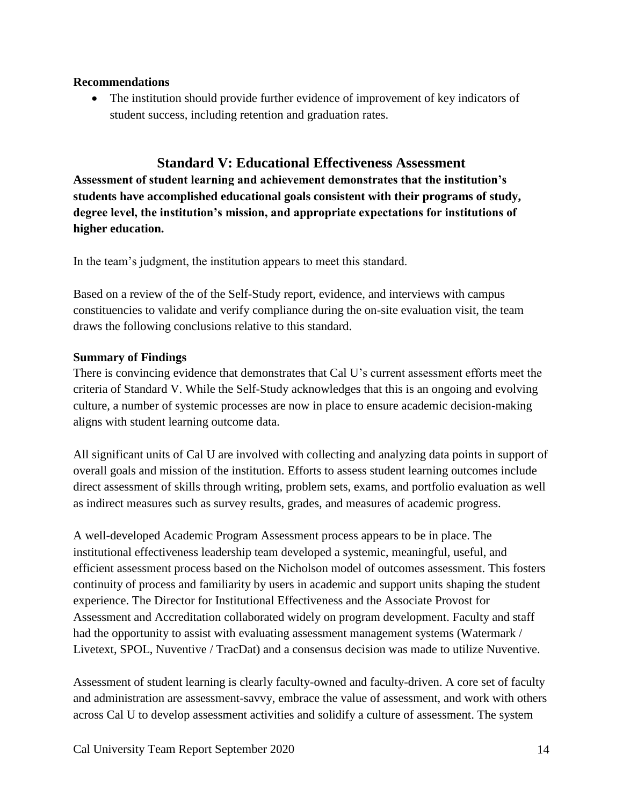#### **Recommendations**

 The institution should provide further evidence of improvement of key indicators of student success, including retention and graduation rates.

### **Standard V: Educational Effectiveness Assessment**

**Assessment of student learning and achievement demonstrates that the institution's students have accomplished educational goals consistent with their programs of study, degree level, the institution's mission, and appropriate expectations for institutions of higher education.**

In the team's judgment, the institution appears to meet this standard.

Based on a review of the of the Self-Study report, evidence, and interviews with campus constituencies to validate and verify compliance during the on-site evaluation visit, the team draws the following conclusions relative to this standard.

#### **Summary of Findings**

There is convincing evidence that demonstrates that Cal U's current assessment efforts meet the criteria of Standard V. While the Self-Study acknowledges that this is an ongoing and evolving culture, a number of systemic processes are now in place to ensure academic decision-making aligns with student learning outcome data.

All significant units of Cal U are involved with collecting and analyzing data points in support of overall goals and mission of the institution. Efforts to assess student learning outcomes include direct assessment of skills through writing, problem sets, exams, and portfolio evaluation as well as indirect measures such as survey results, grades, and measures of academic progress.

A well-developed Academic Program Assessment process appears to be in place. The institutional effectiveness leadership team developed a systemic, meaningful, useful, and efficient assessment process based on the Nicholson model of outcomes assessment. This fosters continuity of process and familiarity by users in academic and support units shaping the student experience. The Director for Institutional Effectiveness and the Associate Provost for Assessment and Accreditation collaborated widely on program development. Faculty and staff had the opportunity to assist with evaluating assessment management systems (Watermark / Livetext, SPOL, Nuventive / TracDat) and a consensus decision was made to utilize Nuventive.

Assessment of student learning is clearly faculty-owned and faculty-driven. A core set of faculty and administration are assessment-savvy, embrace the value of assessment, and work with others across Cal U to develop assessment activities and solidify a culture of assessment. The system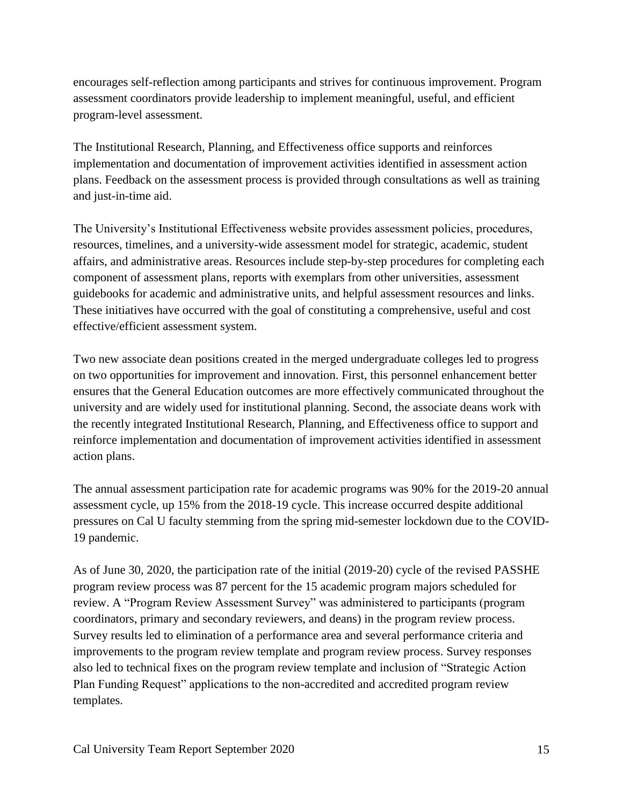encourages self-reflection among participants and strives for continuous improvement. Program assessment coordinators provide leadership to implement meaningful, useful, and efficient program-level assessment.

The Institutional Research, Planning, and Effectiveness office supports and reinforces implementation and documentation of improvement activities identified in assessment action plans. Feedback on the assessment process is provided through consultations as well as training and just-in-time aid.

The University's Institutional Effectiveness website provides assessment policies, procedures, resources, timelines, and a university-wide assessment model for strategic, academic, student affairs, and administrative areas. Resources include step-by-step procedures for completing each component of assessment plans, reports with exemplars from other universities, assessment guidebooks for academic and administrative units, and helpful assessment resources and links. These initiatives have occurred with the goal of constituting a comprehensive, useful and cost effective/efficient assessment system.

Two new associate dean positions created in the merged undergraduate colleges led to progress on two opportunities for improvement and innovation. First, this personnel enhancement better ensures that the General Education outcomes are more effectively communicated throughout the university and are widely used for institutional planning. Second, the associate deans work with the recently integrated Institutional Research, Planning, and Effectiveness office to support and reinforce implementation and documentation of improvement activities identified in assessment action plans.

The annual assessment participation rate for academic programs was 90% for the 2019-20 annual assessment cycle, up 15% from the 2018-19 cycle. This increase occurred despite additional pressures on Cal U faculty stemming from the spring mid-semester lockdown due to the COVID-19 pandemic.

As of June 30, 2020, the participation rate of the initial (2019-20) cycle of the revised PASSHE program review process was 87 percent for the 15 academic program majors scheduled for review. A "Program Review Assessment Survey" was administered to participants (program coordinators, primary and secondary reviewers, and deans) in the program review process. Survey results led to elimination of a performance area and several performance criteria and improvements to the program review template and program review process. Survey responses also led to technical fixes on the program review template and inclusion of "Strategic Action Plan Funding Request" applications to the non-accredited and accredited program review templates.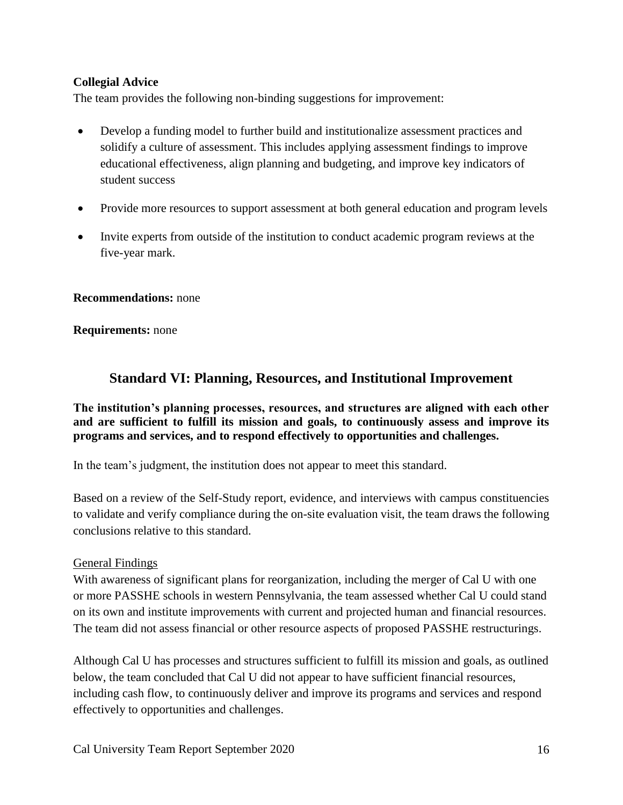### **Collegial Advice**

The team provides the following non-binding suggestions for improvement:

- Develop a funding model to further build and institutionalize assessment practices and solidify a culture of assessment. This includes applying assessment findings to improve educational effectiveness, align planning and budgeting, and improve key indicators of student success
- Provide more resources to support assessment at both general education and program levels
- Invite experts from outside of the institution to conduct academic program reviews at the five-year mark.

#### **Recommendations:** none

#### **Requirements:** none

# **Standard VI: Planning, Resources, and Institutional Improvement**

**The institution's planning processes, resources, and structures are aligned with each other and are sufficient to fulfill its mission and goals, to continuously assess and improve its programs and services, and to respond effectively to opportunities and challenges.**

In the team's judgment, the institution does not appear to meet this standard.

Based on a review of the Self-Study report, evidence, and interviews with campus constituencies to validate and verify compliance during the on-site evaluation visit, the team draws the following conclusions relative to this standard.

#### General Findings

With awareness of significant plans for reorganization, including the merger of Cal U with one or more PASSHE schools in western Pennsylvania, the team assessed whether Cal U could stand on its own and institute improvements with current and projected human and financial resources. The team did not assess financial or other resource aspects of proposed PASSHE restructurings.

Although Cal U has processes and structures sufficient to fulfill its mission and goals, as outlined below, the team concluded that Cal U did not appear to have sufficient financial resources, including cash flow, to continuously deliver and improve its programs and services and respond effectively to opportunities and challenges.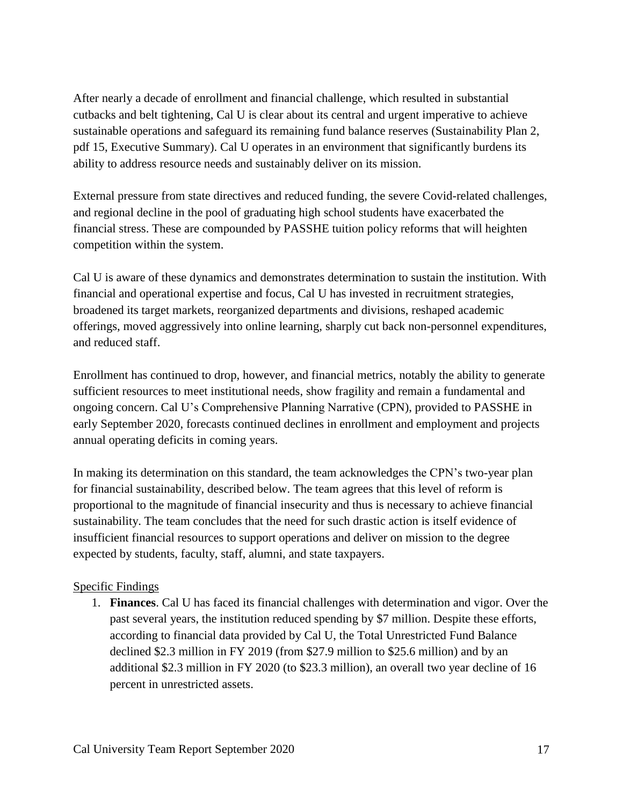After nearly a decade of enrollment and financial challenge, which resulted in substantial cutbacks and belt tightening, Cal U is clear about its central and urgent imperative to achieve sustainable operations and safeguard its remaining fund balance reserves (Sustainability Plan 2, pdf 15, Executive Summary). Cal U operates in an environment that significantly burdens its ability to address resource needs and sustainably deliver on its mission.

External pressure from state directives and reduced funding, the severe Covid-related challenges, and regional decline in the pool of graduating high school students have exacerbated the financial stress. These are compounded by PASSHE tuition policy reforms that will heighten competition within the system.

Cal U is aware of these dynamics and demonstrates determination to sustain the institution. With financial and operational expertise and focus, Cal U has invested in recruitment strategies, broadened its target markets, reorganized departments and divisions, reshaped academic offerings, moved aggressively into online learning, sharply cut back non-personnel expenditures, and reduced staff.

Enrollment has continued to drop, however, and financial metrics, notably the ability to generate sufficient resources to meet institutional needs, show fragility and remain a fundamental and ongoing concern. Cal U's Comprehensive Planning Narrative (CPN), provided to PASSHE in early September 2020, forecasts continued declines in enrollment and employment and projects annual operating deficits in coming years.

In making its determination on this standard, the team acknowledges the CPN's two-year plan for financial sustainability, described below. The team agrees that this level of reform is proportional to the magnitude of financial insecurity and thus is necessary to achieve financial sustainability. The team concludes that the need for such drastic action is itself evidence of insufficient financial resources to support operations and deliver on mission to the degree expected by students, faculty, staff, alumni, and state taxpayers.

## Specific Findings

1. **Finances**. Cal U has faced its financial challenges with determination and vigor. Over the past several years, the institution reduced spending by \$7 million. Despite these efforts, according to financial data provided by Cal U, the Total Unrestricted Fund Balance declined \$2.3 million in FY 2019 (from \$27.9 million to \$25.6 million) and by an additional \$2.3 million in FY 2020 (to \$23.3 million), an overall two year decline of 16 percent in unrestricted assets.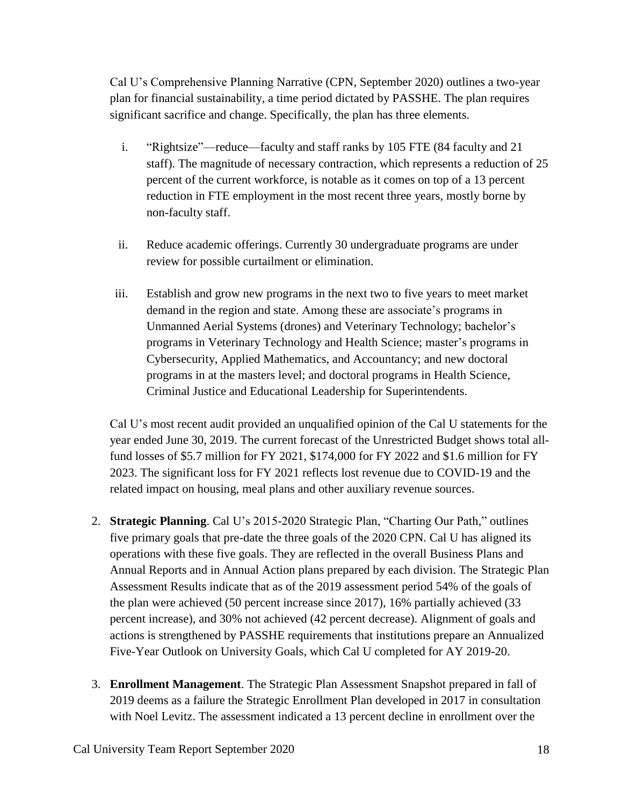Cal U's Comprehensive Planning Narrative (CPN, September 2020) outlines a two-year plan for financial sustainability, a time period dictated by PASSHE. The plan requires significant sacrifice and change. Specifically, the plan has three elements.

- i. "Rightsize"—reduce—faculty and staff ranks by 105 FTE (84 faculty and 21 staff). The magnitude of necessary contraction, which represents a reduction of 25 percent of the current workforce, is notable as it comes on top of a 13 percent reduction in FTE employment in the most recent three years, mostly borne by non-faculty staff.
- ii. Reduce academic offerings. Currently 30 undergraduate programs are under review for possible curtailment or elimination.
- iii. Establish and grow new programs in the next two to five years to meet market demand in the region and state. Among these are associate's programs in Unmanned Aerial Systems (drones) and Veterinary Technology; bachelor's programs in Veterinary Technology and Health Science; master's programs in Cybersecurity, Applied Mathematics, and Accountancy; and new doctoral programs in at the masters level; and doctoral programs in Health Science, Criminal Justice and Educational Leadership for Superintendents.

Cal U's most recent audit provided an unqualified opinion of the Cal U statements for the year ended June 30, 2019. The current forecast of the Unrestricted Budget shows total allfund losses of \$5.7 million for FY 2021, \$174,000 for FY 2022 and \$1.6 million for FY 2023. The significant loss for FY 2021 reflects lost revenue due to COVID-19 and the related impact on housing, meal plans and other auxiliary revenue sources.

- 2. **Strategic Planning**. Cal U's 2015-2020 Strategic Plan, "Charting Our Path," outlines five primary goals that pre-date the three goals of the 2020 CPN. Cal U has aligned its operations with these five goals. They are reflected in the overall Business Plans and Annual Reports and in Annual Action plans prepared by each division. The Strategic Plan Assessment Results indicate that as of the 2019 assessment period 54% of the goals of the plan were achieved (50 percent increase since 2017), 16% partially achieved (33 percent increase), and 30% not achieved (42 percent decrease). Alignment of goals and actions is strengthened by PASSHE requirements that institutions prepare an Annualized Five-Year Outlook on University Goals, which Cal U completed for AY 2019-20.
- 3. **Enrollment Management**. The Strategic Plan Assessment Snapshot prepared in fall of 2019 deems as a failure the Strategic Enrollment Plan developed in 2017 in consultation with Noel Levitz. The assessment indicated a 13 percent decline in enrollment over the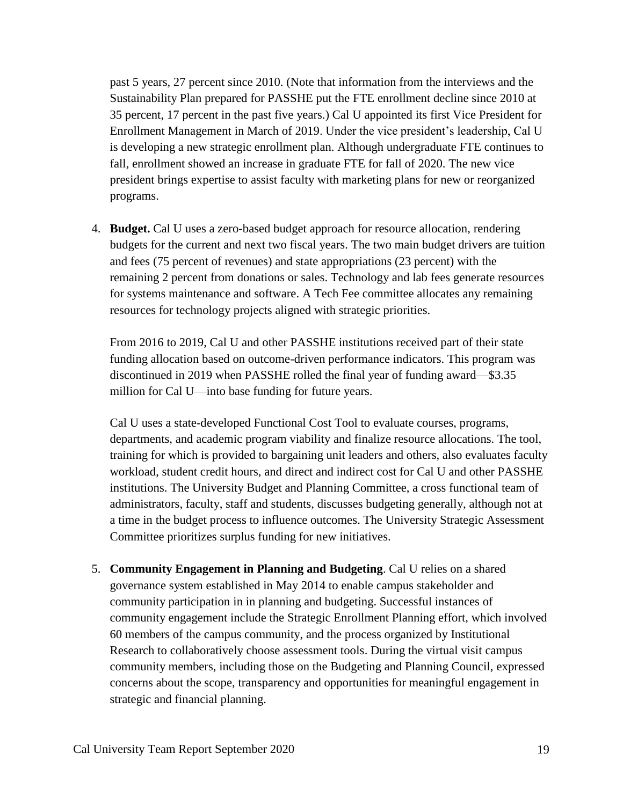past 5 years, 27 percent since 2010. (Note that information from the interviews and the Sustainability Plan prepared for PASSHE put the FTE enrollment decline since 2010 at 35 percent, 17 percent in the past five years.) Cal U appointed its first Vice President for Enrollment Management in March of 2019. Under the vice president's leadership, Cal U is developing a new strategic enrollment plan. Although undergraduate FTE continues to fall, enrollment showed an increase in graduate FTE for fall of 2020. The new vice president brings expertise to assist faculty with marketing plans for new or reorganized programs.

4. **Budget.** Cal U uses a zero-based budget approach for resource allocation, rendering budgets for the current and next two fiscal years. The two main budget drivers are tuition and fees (75 percent of revenues) and state appropriations (23 percent) with the remaining 2 percent from donations or sales. Technology and lab fees generate resources for systems maintenance and software. A Tech Fee committee allocates any remaining resources for technology projects aligned with strategic priorities.

From 2016 to 2019, Cal U and other PASSHE institutions received part of their state funding allocation based on outcome-driven performance indicators. This program was discontinued in 2019 when PASSHE rolled the final year of funding award—\$3.35 million for Cal U—into base funding for future years.

Cal U uses a state-developed Functional Cost Tool to evaluate courses, programs, departments, and academic program viability and finalize resource allocations. The tool, training for which is provided to bargaining unit leaders and others, also evaluates faculty workload, student credit hours, and direct and indirect cost for Cal U and other PASSHE institutions. The University Budget and Planning Committee, a cross functional team of administrators, faculty, staff and students, discusses budgeting generally, although not at a time in the budget process to influence outcomes. The University Strategic Assessment Committee prioritizes surplus funding for new initiatives.

5. **Community Engagement in Planning and Budgeting**. Cal U relies on a shared governance system established in May 2014 to enable campus stakeholder and community participation in in planning and budgeting. Successful instances of community engagement include the Strategic Enrollment Planning effort, which involved 60 members of the campus community, and the process organized by Institutional Research to collaboratively choose assessment tools. During the virtual visit campus community members, including those on the Budgeting and Planning Council, expressed concerns about the scope, transparency and opportunities for meaningful engagement in strategic and financial planning.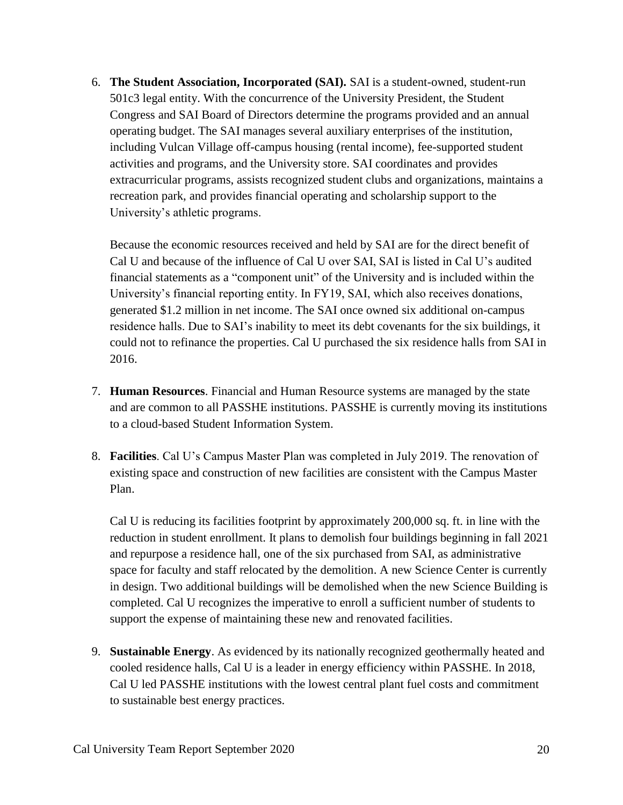6. **The Student Association, Incorporated (SAI).** SAI is a student-owned, student-run 501c3 legal entity. With the concurrence of the University President, the Student Congress and SAI Board of Directors determine the programs provided and an annual operating budget. The SAI manages several auxiliary enterprises of the institution, including Vulcan Village off-campus housing (rental income), fee-supported student activities and programs, and the University store. SAI coordinates and provides extracurricular programs, assists recognized student clubs and organizations, maintains a recreation park, and provides financial operating and scholarship support to the University's athletic programs.

Because the economic resources received and held by SAI are for the direct benefit of Cal U and because of the influence of Cal U over SAI, SAI is listed in Cal U's audited financial statements as a "component unit" of the University and is included within the University's financial reporting entity. In FY19, SAI, which also receives donations, generated \$1.2 million in net income. The SAI once owned six additional on-campus residence halls. Due to SAI's inability to meet its debt covenants for the six buildings, it could not to refinance the properties. Cal U purchased the six residence halls from SAI in 2016.

- 7. **Human Resources**. Financial and Human Resource systems are managed by the state and are common to all PASSHE institutions. PASSHE is currently moving its institutions to a cloud-based Student Information System.
- 8. **Facilities**. Cal U's Campus Master Plan was completed in July 2019. The renovation of existing space and construction of new facilities are consistent with the Campus Master Plan.

Cal U is reducing its facilities footprint by approximately 200,000 sq. ft. in line with the reduction in student enrollment. It plans to demolish four buildings beginning in fall 2021 and repurpose a residence hall, one of the six purchased from SAI, as administrative space for faculty and staff relocated by the demolition. A new Science Center is currently in design. Two additional buildings will be demolished when the new Science Building is completed. Cal U recognizes the imperative to enroll a sufficient number of students to support the expense of maintaining these new and renovated facilities.

9. **Sustainable Energy**. As evidenced by its nationally recognized geothermally heated and cooled residence halls, Cal U is a leader in energy efficiency within PASSHE. In 2018, Cal U led PASSHE institutions with the lowest central plant fuel costs and commitment to sustainable best energy practices.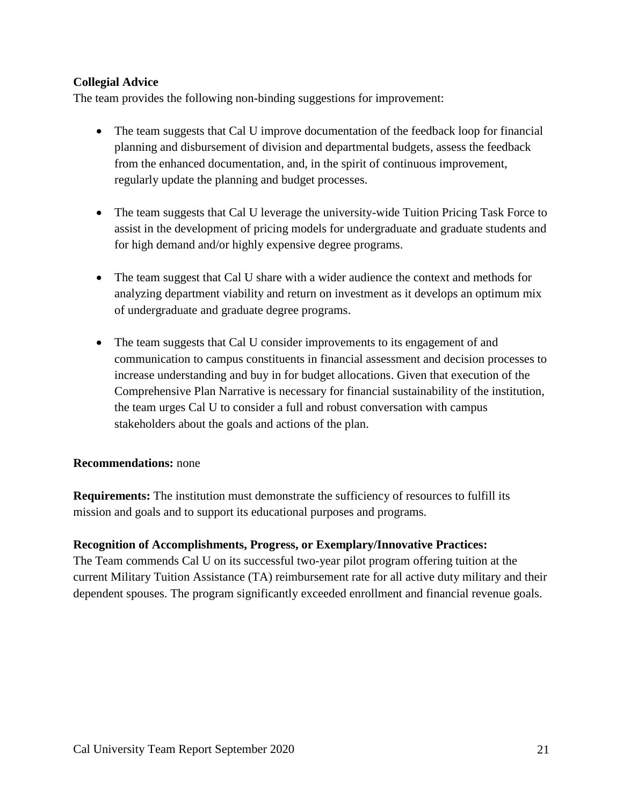### **Collegial Advice**

The team provides the following non-binding suggestions for improvement:

- The team suggests that Cal U improve documentation of the feedback loop for financial planning and disbursement of division and departmental budgets, assess the feedback from the enhanced documentation, and, in the spirit of continuous improvement, regularly update the planning and budget processes.
- The team suggests that Cal U leverage the university-wide Tuition Pricing Task Force to assist in the development of pricing models for undergraduate and graduate students and for high demand and/or highly expensive degree programs.
- The team suggest that Cal U share with a wider audience the context and methods for analyzing department viability and return on investment as it develops an optimum mix of undergraduate and graduate degree programs.
- The team suggests that Cal U consider improvements to its engagement of and communication to campus constituents in financial assessment and decision processes to increase understanding and buy in for budget allocations. Given that execution of the Comprehensive Plan Narrative is necessary for financial sustainability of the institution, the team urges Cal U to consider a full and robust conversation with campus stakeholders about the goals and actions of the plan.

#### **Recommendations:** none

**Requirements:** The institution must demonstrate the sufficiency of resources to fulfill its mission and goals and to support its educational purposes and programs.

#### **Recognition of Accomplishments, Progress, or Exemplary/Innovative Practices:**

The Team commends Cal U on its successful two-year pilot program offering tuition at the current Military Tuition Assistance (TA) reimbursement rate for all active duty military and their dependent spouses. The program significantly exceeded enrollment and financial revenue goals.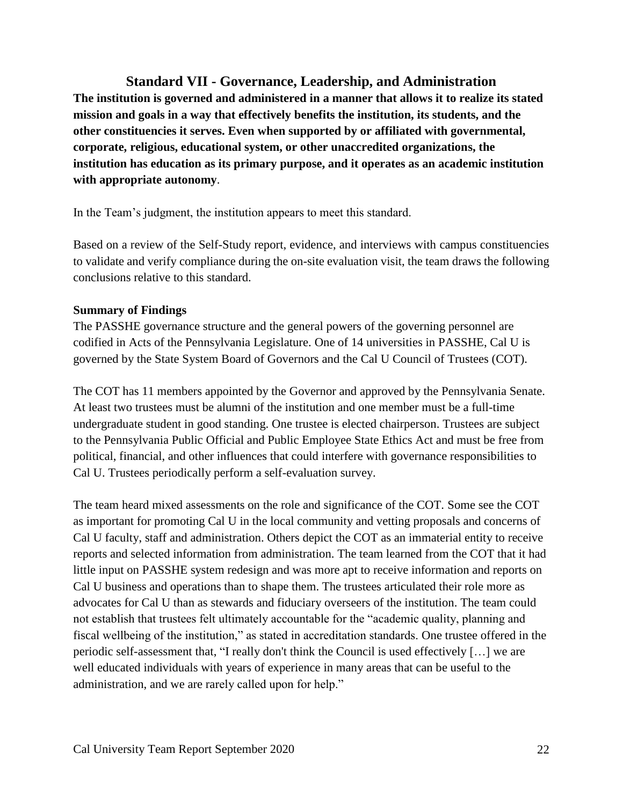**Standard VII - Governance, Leadership, and Administration**

**The institution is governed and administered in a manner that allows it to realize its stated mission and goals in a way that effectively benefits the institution, its students, and the other constituencies it serves. Even when supported by or affiliated with governmental, corporate, religious, educational system, or other unaccredited organizations, the institution has education as its primary purpose, and it operates as an academic institution with appropriate autonomy**.

In the Team's judgment, the institution appears to meet this standard.

Based on a review of the Self-Study report, evidence, and interviews with campus constituencies to validate and verify compliance during the on-site evaluation visit, the team draws the following conclusions relative to this standard.

### **Summary of Findings**

The PASSHE governance structure and the general powers of the governing personnel are codified in Acts of the Pennsylvania Legislature. One of 14 universities in PASSHE, Cal U is governed by the State System Board of Governors and the Cal U Council of Trustees (COT).

The COT has 11 members appointed by the Governor and approved by the Pennsylvania Senate. At least two trustees must be alumni of the institution and one member must be a full-time undergraduate student in good standing. One trustee is elected chairperson. Trustees are subject to the Pennsylvania Public Official and Public Employee State Ethics Act and must be free from political, financial, and other influences that could interfere with governance responsibilities to Cal U. Trustees periodically perform a self-evaluation survey.

The team heard mixed assessments on the role and significance of the COT. Some see the COT as important for promoting Cal U in the local community and vetting proposals and concerns of Cal U faculty, staff and administration. Others depict the COT as an immaterial entity to receive reports and selected information from administration. The team learned from the COT that it had little input on PASSHE system redesign and was more apt to receive information and reports on Cal U business and operations than to shape them. The trustees articulated their role more as advocates for Cal U than as stewards and fiduciary overseers of the institution. The team could not establish that trustees felt ultimately accountable for the "academic quality, planning and fiscal wellbeing of the institution," as stated in accreditation standards. One trustee offered in the periodic self-assessment that, "I really don't think the Council is used effectively […] we are well educated individuals with years of experience in many areas that can be useful to the administration, and we are rarely called upon for help."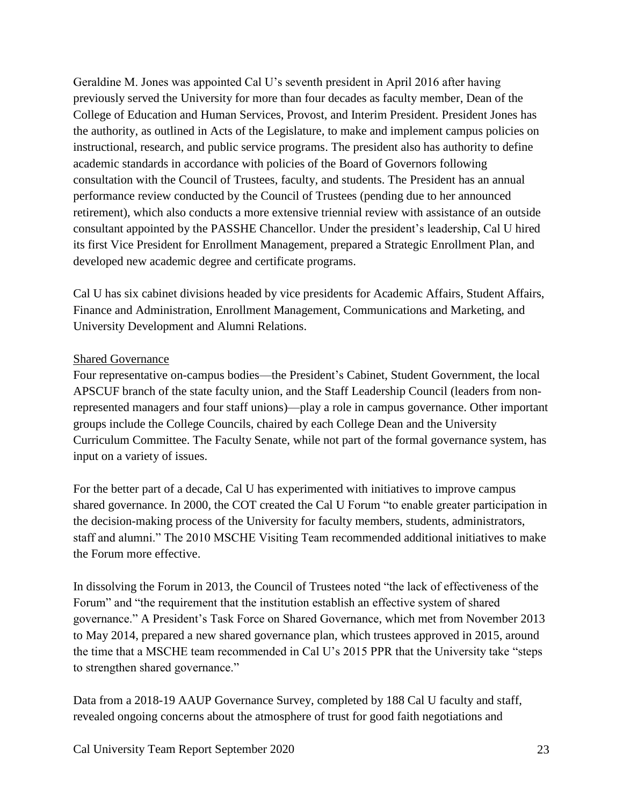Geraldine M. Jones was appointed Cal U's seventh president in April 2016 after having previously served the University for more than four decades as faculty member, Dean of the College of Education and Human Services, Provost, and Interim President. President Jones has the authority, as outlined in Acts of the Legislature, to make and implement campus policies on instructional, research, and public service programs. The president also has authority to define academic standards in accordance with policies of the Board of Governors following consultation with the Council of Trustees, faculty, and students. The President has an annual performance review conducted by the Council of Trustees (pending due to her announced retirement), which also conducts a more extensive triennial review with assistance of an outside consultant appointed by the PASSHE Chancellor. Under the president's leadership, Cal U hired its first Vice President for Enrollment Management, prepared a Strategic Enrollment Plan, and developed new academic degree and certificate programs.

Cal U has six cabinet divisions headed by vice presidents for Academic Affairs, Student Affairs, Finance and Administration, Enrollment Management, Communications and Marketing, and University Development and Alumni Relations.

#### Shared Governance

Four representative on-campus bodies—the President's Cabinet, Student Government, the local APSCUF branch of the state faculty union, and the Staff Leadership Council (leaders from nonrepresented managers and four staff unions)—play a role in campus governance. Other important groups include the College Councils, chaired by each College Dean and the University Curriculum Committee. The Faculty Senate, while not part of the formal governance system, has input on a variety of issues.

For the better part of a decade, Cal U has experimented with initiatives to improve campus shared governance. In 2000, the COT created the Cal U Forum "to enable greater participation in the decision-making process of the University for faculty members, students, administrators, staff and alumni." The 2010 MSCHE Visiting Team recommended additional initiatives to make the Forum more effective.

In dissolving the Forum in 2013, the Council of Trustees noted "the lack of effectiveness of the Forum" and "the requirement that the institution establish an effective system of shared governance." A President's Task Force on Shared Governance, which met from November 2013 to May 2014, prepared a new shared governance plan, which trustees approved in 2015, around the time that a MSCHE team recommended in Cal U's 2015 PPR that the University take "steps to strengthen shared governance."

Data from a 2018-19 AAUP Governance Survey, completed by 188 Cal U faculty and staff, revealed ongoing concerns about the atmosphere of trust for good faith negotiations and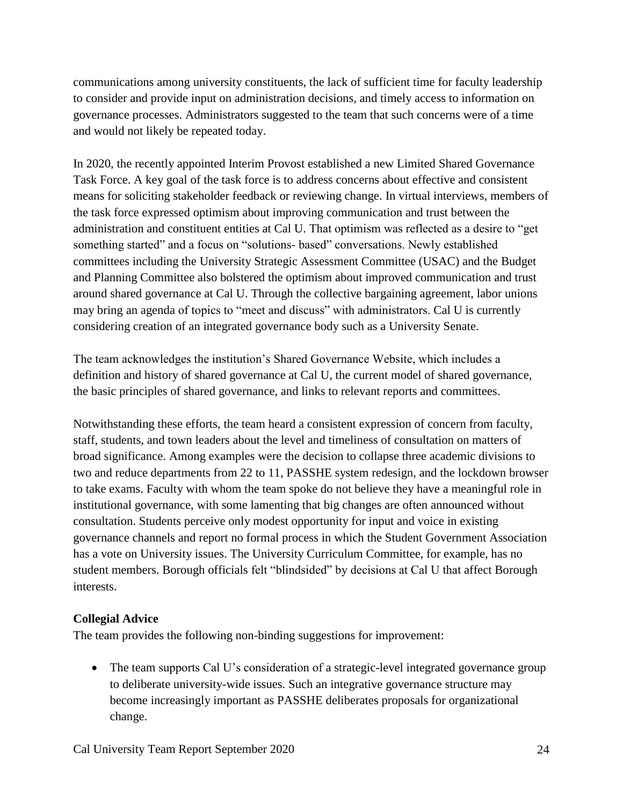communications among university constituents, the lack of sufficient time for faculty leadership to consider and provide input on administration decisions, and timely access to information on governance processes. Administrators suggested to the team that such concerns were of a time and would not likely be repeated today.

In 2020, the recently appointed Interim Provost established a new Limited Shared Governance Task Force. A key goal of the task force is to address concerns about effective and consistent means for soliciting stakeholder feedback or reviewing change. In virtual interviews, members of the task force expressed optimism about improving communication and trust between the administration and constituent entities at Cal U. That optimism was reflected as a desire to "get something started" and a focus on "solutions- based" conversations. Newly established committees including the University Strategic Assessment Committee (USAC) and the Budget and Planning Committee also bolstered the optimism about improved communication and trust around shared governance at Cal U. Through the collective bargaining agreement, labor unions may bring an agenda of topics to "meet and discuss" with administrators. Cal U is currently considering creation of an integrated governance body such as a University Senate.

The team acknowledges the institution's Shared Governance Website, which includes a definition and history of shared governance at Cal U, the current model of shared governance, the basic principles of shared governance, and links to relevant reports and committees.

Notwithstanding these efforts, the team heard a consistent expression of concern from faculty, staff, students, and town leaders about the level and timeliness of consultation on matters of broad significance. Among examples were the decision to collapse three academic divisions to two and reduce departments from 22 to 11, PASSHE system redesign, and the lockdown browser to take exams. Faculty with whom the team spoke do not believe they have a meaningful role in institutional governance, with some lamenting that big changes are often announced without consultation. Students perceive only modest opportunity for input and voice in existing governance channels and report no formal process in which the Student Government Association has a vote on University issues. The University Curriculum Committee, for example, has no student members. Borough officials felt "blindsided" by decisions at Cal U that affect Borough interests.

#### **Collegial Advice**

The team provides the following non-binding suggestions for improvement:

• The team supports Cal U's consideration of a strategic-level integrated governance group to deliberate university-wide issues. Such an integrative governance structure may become increasingly important as PASSHE deliberates proposals for organizational change.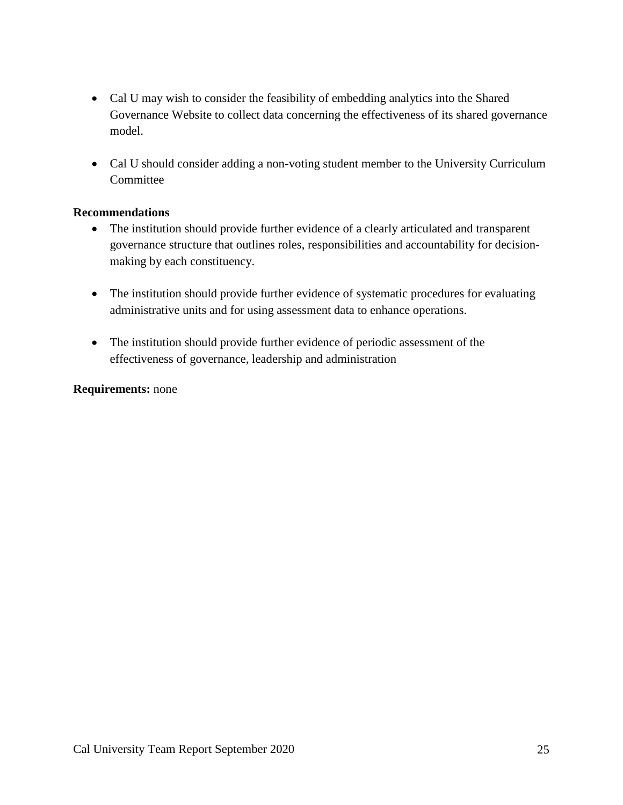- Cal U may wish to consider the feasibility of embedding analytics into the Shared Governance Website to collect data concerning the effectiveness of its shared governance model.
- Cal U should consider adding a non-voting student member to the University Curriculum **Committee**

#### **Recommendations**

- The institution should provide further evidence of a clearly articulated and transparent governance structure that outlines roles, responsibilities and accountability for decisionmaking by each constituency.
- The institution should provide further evidence of systematic procedures for evaluating administrative units and for using assessment data to enhance operations.
- The institution should provide further evidence of periodic assessment of the effectiveness of governance, leadership and administration

### **Requirements:** none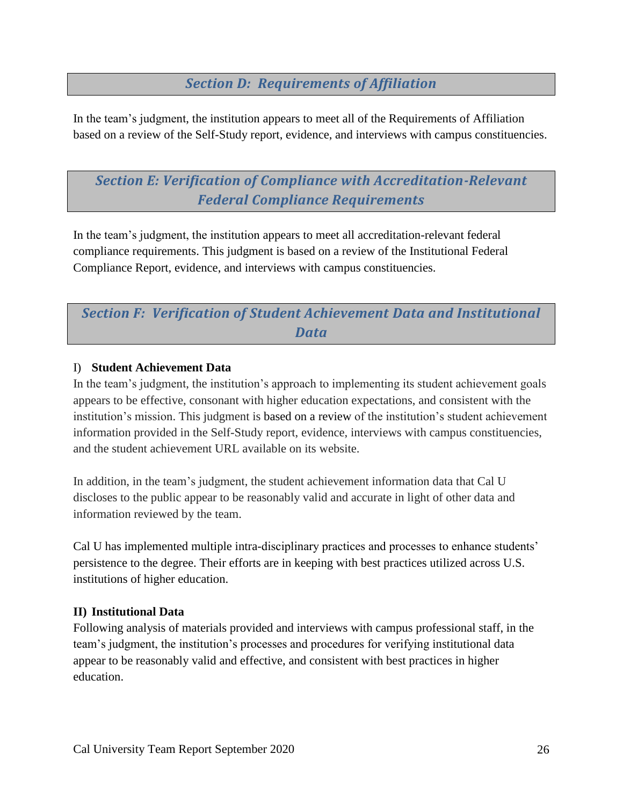# *Section D: Requirements of Affiliation*

In the team's judgment, the institution appears to meet all of the Requirements of Affiliation based on a review of the Self-Study report, evidence, and interviews with campus constituencies.

*Section E: Verification of Compliance with Accreditation-Relevant Federal Compliance Requirements*

In the team's judgment, the institution appears to meet all accreditation-relevant federal compliance requirements. This judgment is based on a review of the Institutional Federal Compliance Report, evidence, and interviews with campus constituencies.

# *Section F: Verification of Student Achievement Data and Institutional Data*

#### I) **Student Achievement Data**

In the team's judgment, the institution's approach to implementing its student achievement goals appears to be effective, consonant with higher education expectations, and consistent with the institution's mission. This judgment is based on a review of the institution's student achievement information provided in the Self-Study report, evidence, interviews with campus constituencies, and the student achievement URL available on its website.

In addition, in the team's judgment, the student achievement information data that Cal U discloses to the public appear to be reasonably valid and accurate in light of other data and information reviewed by the team.

Cal U has implemented multiple intra-disciplinary practices and processes to enhance students' persistence to the degree. Their efforts are in keeping with best practices utilized across U.S. institutions of higher education.

#### **II) Institutional Data**

Following analysis of materials provided and interviews with campus professional staff, in the team's judgment, the institution's processes and procedures for verifying institutional data appear to be reasonably valid and effective, and consistent with best practices in higher education.